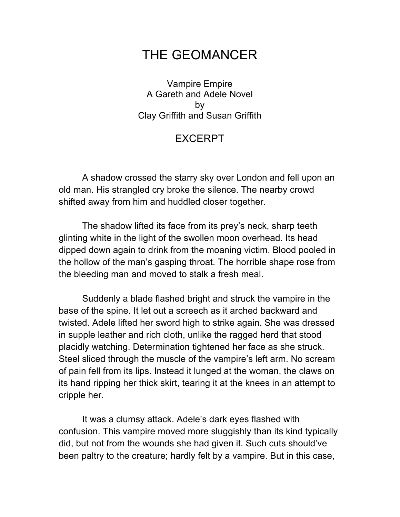## THE GEOMANCER

Vampire Empire A Gareth and Adele Novel by Clay Griffith and Susan Griffith

## EXCERPT

A shadow crossed the starry sky over London and fell upon an old man. His strangled cry broke the silence. The nearby crowd shifted away from him and huddled closer together.

The shadow lifted its face from its prey's neck, sharp teeth glinting white in the light of the swollen moon overhead. Its head dipped down again to drink from the moaning victim. Blood pooled in the hollow of the man's gasping throat. The horrible shape rose from the bleeding man and moved to stalk a fresh meal.

Suddenly a blade flashed bright and struck the vampire in the base of the spine. It let out a screech as it arched backward and twisted. Adele lifted her sword high to strike again. She was dressed in supple leather and rich cloth, unlike the ragged herd that stood placidly watching. Determination tightened her face as she struck. Steel sliced through the muscle of the vampire's left arm. No scream of pain fell from its lips. Instead it lunged at the woman, the claws on its hand ripping her thick skirt, tearing it at the knees in an attempt to cripple her.

It was a clumsy attack. Adele's dark eyes flashed with confusion. This vampire moved more sluggishly than its kind typically did, but not from the wounds she had given it. Such cuts should've been paltry to the creature; hardly felt by a vampire. But in this case,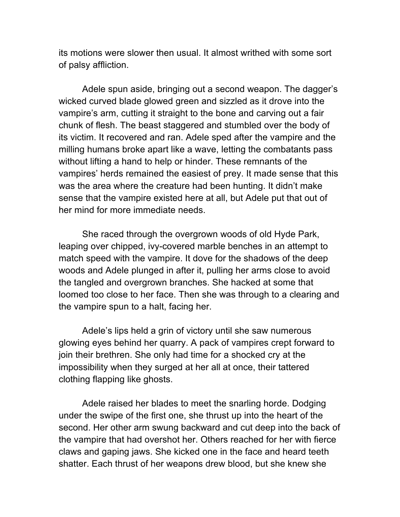its motions were slower then usual. It almost writhed with some sort of palsy affliction.

Adele spun aside, bringing out a second weapon. The dagger's wicked curved blade glowed green and sizzled as it drove into the vampire's arm, cutting it straight to the bone and carving out a fair chunk of flesh. The beast staggered and stumbled over the body of its victim. It recovered and ran. Adele sped after the vampire and the milling humans broke apart like a wave, letting the combatants pass without lifting a hand to help or hinder. These remnants of the vampires' herds remained the easiest of prey. It made sense that this was the area where the creature had been hunting. It didn't make sense that the vampire existed here at all, but Adele put that out of her mind for more immediate needs.

She raced through the overgrown woods of old Hyde Park, leaping over chipped, ivy-covered marble benches in an attempt to match speed with the vampire. It dove for the shadows of the deep woods and Adele plunged in after it, pulling her arms close to avoid the tangled and overgrown branches. She hacked at some that loomed too close to her face. Then she was through to a clearing and the vampire spun to a halt, facing her.

Adele's lips held a grin of victory until she saw numerous glowing eyes behind her quarry. A pack of vampires crept forward to join their brethren. She only had time for a shocked cry at the impossibility when they surged at her all at once, their tattered clothing flapping like ghosts.

Adele raised her blades to meet the snarling horde. Dodging under the swipe of the first one, she thrust up into the heart of the second. Her other arm swung backward and cut deep into the back of the vampire that had overshot her. Others reached for her with fierce claws and gaping jaws. She kicked one in the face and heard teeth shatter. Each thrust of her weapons drew blood, but she knew she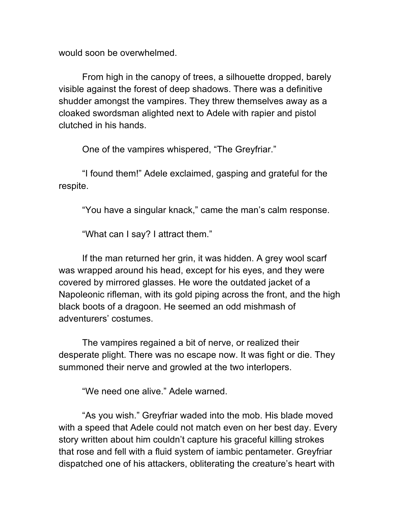would soon be overwhelmed.

From high in the canopy of trees, a silhouette dropped, barely visible against the forest of deep shadows. There was a definitive shudder amongst the vampires. They threw themselves away as a cloaked swordsman alighted next to Adele with rapier and pistol clutched in his hands.

One of the vampires whispered, "The Greyfriar."

"I found them!" Adele exclaimed, gasping and grateful for the respite.

"You have a singular knack," came the man's calm response.

"What can I say? I attract them."

If the man returned her grin, it was hidden. A grey wool scarf was wrapped around his head, except for his eyes, and they were covered by mirrored glasses. He wore the outdated jacket of a Napoleonic rifleman, with its gold piping across the front, and the high black boots of a dragoon. He seemed an odd mishmash of adventurers' costumes.

The vampires regained a bit of nerve, or realized their desperate plight. There was no escape now. It was fight or die. They summoned their nerve and growled at the two interlopers.

"We need one alive." Adele warned.

"As you wish." Greyfriar waded into the mob. His blade moved with a speed that Adele could not match even on her best day. Every story written about him couldn't capture his graceful killing strokes that rose and fell with a fluid system of iambic pentameter. Greyfriar dispatched one of his attackers, obliterating the creature's heart with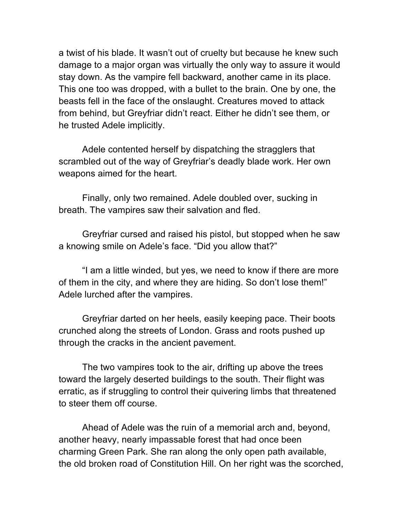a twist of his blade. It wasn't out of cruelty but because he knew such damage to a major organ was virtually the only way to assure it would stay down. As the vampire fell backward, another came in its place. This one too was dropped, with a bullet to the brain. One by one, the beasts fell in the face of the onslaught. Creatures moved to attack from behind, but Greyfriar didn't react. Either he didn't see them, or he trusted Adele implicitly.

Adele contented herself by dispatching the stragglers that scrambled out of the way of Greyfriar's deadly blade work. Her own weapons aimed for the heart.

Finally, only two remained. Adele doubled over, sucking in breath. The vampires saw their salvation and fled.

Greyfriar cursed and raised his pistol, but stopped when he saw a knowing smile on Adele's face. "Did you allow that?"

"I am a little winded, but yes, we need to know if there are more of them in the city, and where they are hiding. So don't lose them!" Adele lurched after the vampires.

Greyfriar darted on her heels, easily keeping pace. Their boots crunched along the streets of London. Grass and roots pushed up through the cracks in the ancient pavement.

The two vampires took to the air, drifting up above the trees toward the largely deserted buildings to the south. Their flight was erratic, as if struggling to control their quivering limbs that threatened to steer them off course.

Ahead of Adele was the ruin of a memorial arch and, beyond, another heavy, nearly impassable forest that had once been charming Green Park. She ran along the only open path available, the old broken road of Constitution Hill. On her right was the scorched,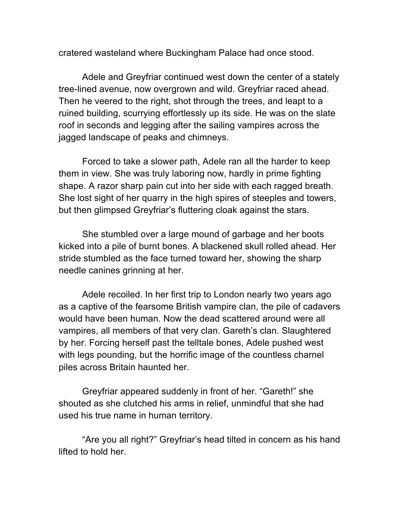cratered wasteland where Buckingham Palace had once stood.

Adele and Greyfriar continued west down the center of a stately tree-lined avenue, now overgrown and wild. Greyfriar raced ahead. Then he veered to the right, shot through the trees, and leapt to a ruined building, scurrying effortlessly up its side. He was on the slate roof in seconds and legging after the sailing vampires across the jagged landscape of peaks and chimneys.

Forced to take a slower path, Adele ran all the harder to keep them in view. She was truly laboring now, hardly in prime fighting shape. A razor sharp pain cut into her side with each ragged breath. She lost sight of her quarry in the high spires of steeples and towers, but then glimpsed Greyfriar's fluttering cloak against the stars.

She stumbled over a large mound of garbage and her boots kicked into a pile of burnt bones. A blackened skull rolled ahead. Her stride stumbled as the face turned toward her, showing the sharp needle canines grinning at her.

Adele recoiled. In her first trip to London nearly two years ago as a captive of the fearsome British vampire clan, the pile of cadavers would have been human. Now the dead scattered around were all vampires, all members of that very clan. Gareth's clan. Slaughtered by her. Forcing herself past the telltale bones, Adele pushed west with legs pounding, but the horrific image of the countless charnel piles across Britain haunted her.

Greyfriar appeared suddenly in front of her. "Gareth!" she shouted as she clutched his arms in relief, unmindful that she had used his true name in human territory.

"Are you all right?" Greyfriar's head tilted in concern as his hand lifted to hold her.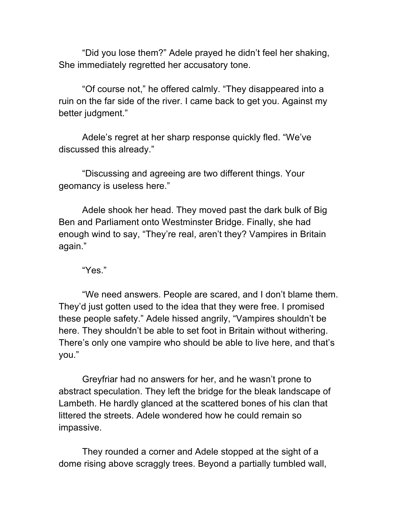"Did you lose them?" Adele prayed he didn't feel her shaking, She immediately regretted her accusatory tone.

"Of course not," he offered calmly. "They disappeared into a ruin on the far side of the river. I came back to get you. Against my better judgment."

Adele's regret at her sharp response quickly fled. "We've discussed this already."

"Discussing and agreeing are two different things. Your geomancy is useless here."

Adele shook her head. They moved past the dark bulk of Big Ben and Parliament onto Westminster Bridge. Finally, she had enough wind to say, "They're real, aren't they? Vampires in Britain again."

"Yes."

"We need answers. People are scared, and I don't blame them. They'd just gotten used to the idea that they were free. I promised these people safety." Adele hissed angrily, "Vampires shouldn't be here. They shouldn't be able to set foot in Britain without withering. There's only one vampire who should be able to live here, and that's you."

Greyfriar had no answers for her, and he wasn't prone to abstract speculation. They left the bridge for the bleak landscape of Lambeth. He hardly glanced at the scattered bones of his clan that littered the streets. Adele wondered how he could remain so impassive.

They rounded a corner and Adele stopped at the sight of a dome rising above scraggly trees. Beyond a partially tumbled wall,